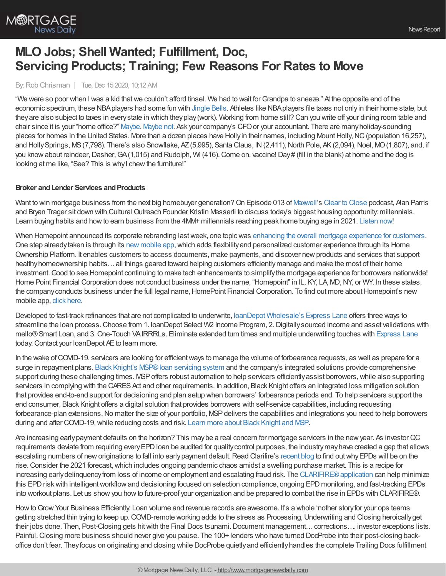

# **MLO Jobs; Shell Wanted; Fulfillment, Doc, Servicing Products; Training; Few Reasons For Rates to Move**

By:Rob Chrisman | Tue, Dec 15 2020, 10:12 AM

"We were so poor when Iwas a kid thatwe couldn't afford tinsel. We had to wait forGrandpa to sneeze." At the opposite end of the economic spectrum, these NBAplayers had some fun with [Jingle](https://www.youtube.com/watch?v=EYEHUOpwNvE) Bells. Athletes like NBAplayers file taxes not onlyin their home state, but theyare also subject to taxes in everystate in which theyplay(work). Working from home still? Can you write off your dining room table and chair since it is your "home office?" [Maybe](https://www.irs.gov/newsroom/heres-what-taxpayers-need-to-know-about-the-home-office-deduction). [Maybe](https://www.forbes.com/sites/davidrae/2020/05/06/home-office-deduction-2020/?sh=1cd1265a7f75) not. Ask your company's CFOor your accountant. There are manyholiday-sounding places for homes in the United States. More than a dozen places have Holly in their names, including Mount Holly, NC (population 16,257), and Holly Springs, MS (7,798). There's also Snowflake, AZ (5,995), Santa Claus, IN (2,411), North Pole, AK (2,094), Noel, MO (1,807), and, if you know about reindeer, Dasher, GA(1,015) and Rudolph, WI (416). Come on, vaccine! Day# (fill in the blank) at home and the dog is looking at me like, "See? This is why I chew the furniture!"

## **Broker** and Lender Services and Products

Want to win mortgage business from the next big homebuyer generation? On Episode 013 of [Maxwell](https://himaxwell.com/?utm_source=RC&utm_medium=RC_Content)'s Clear to [Close](https://demo.himaxwell.com/clear-to-close-km-rc) podcast, Alan Parris and Bryan Trager sit down with Cultural Outreach Founder Kristin Messerli to discuss today's biggest housing opportunity: millennials. Learn buying habits and howto earn business from the 4MM+ millennials reaching peak home buying age in 2021. [Listen](https://demo.himaxwell.com/clear-to-close-km-rc) now!

When Homepoint announced its corporate rebranding last week, one topic was enhancing the overall mortgage [experience](https://www.housingwire.com/articles/how-one-lender-is-putting-the-focus-back-on-people-and-relationships/) for customers. One step already taken is through its new [mobile](https://www.housingwire.com/articles/how-to-add-flexibility-and-personalization-to-the-borrower-experience/) app, which adds flexibility and personalized customer experience through its Home Ownership Platform. It enables customers to access documents, make payments, and discover new products and services that support healthyhomeownership habits…all things geared toward helping customers efficientlymanage and make the most of their home investment. Good to see Homepoint continuing to make tech enhancements to simplify the mortgage experience for borrowers nationwide! Home Point Financial Corporation does not conduct business under the name, "Homepoint" in IL, KY, LA, MD,NY, or WY. In these states, the company conducts business under the full legal name, HomePoint Financial Corporation. To find out more about Homepoint's new mobile app, click [here](https://www.housingwire.com/articles/how-to-add-flexibility-and-personalization-to-the-borrower-experience/).

Developed to fast-track refinances that are not complicated to underwrite, loanDepot [Wholesale's](https://www.ldwholesale.com/express-lane) Express Lane offers three ways to streamline the loan process.Choose from 1. loanDepot Select W2 Income Program, 2.Digitallysourced income and asset validations with mello®Smart Loan, and 3.One-Touch VAIRRRLs. Eliminate extended turn times and multiple underwriting touches with [Express](https://www.ldwholesale.com/express-lane) Lane today. Contact your loanDepot AE to learn more.

In the wake of COVID-19, servicers are looking for efficient ways to manage the volume of forbearance requests, as well as prepare for a surge in repayment plans. Black Knight's MSP® loan servicing system and the company's integrated solutions provide comprehensive support during these challenging times. MSP offers robust automation to help servicers efficiently assist borrowers, while also supporting servicers in complying with the CARES Act and other requirements. In addition, Black Knight offers an integrated loss mitigation solution that provides end-to-end support for decisioning and plan setup when borrowers' forbearance periods end. To help servicers support the end consumer, Black Knight offers a digital solution that provides borrowers with self-service capabilities, including requesting forbearance-plan extensions. No matter the size of your portfolio, MSP delivers the capabilities and integrations you need to help borrowers during and after COVID-19, while reducing costs and risk. Learn more about Black [Knight](https://www.blackknightinc.com/markets-we-serve/mortgage/loan-servicing/msp/?utm_source=RobChrisman&utm_medium=ad&utm_campaign=ST_MSP_ProductPromo) and MSP.

Are increasing earlypayment defaults on the horizon? This maybe a real concern for mortgage servicers in the newyear. As investorQC requirements deviate from requiring everyEPDloan be audited for qualitycontrol purposes, the industrymayhave created a gap that allows escalating numbers of new originations to fall into early payment default. Read Clarifire's [recent](https://www.eclarifire.com/loss-mitigation-workflow.aspx?utm_campaign=Chrisman%20Ads&utm_source=Chrisman-Ads&utm_medium=Chrisman-Ads-2020-12-01) blog to find out why EPDs will be on the rise.Consider the 2021 forecast,which includes ongoing pandemic chaos amidst a swelling purchase market. This is a recipe for increasing early delinquency from loss of income or employment and escalating fraud risk. The CLARIFIRE® application can help minimize this EPD risk with intelligent workflow and decisioning focused on selection compliance, ongoing EPD monitoring, and fast-tracking EPDs into workout plans. Let us showyou howto future-proof your organization and be prepared to combat the rise in EPDs with CLARIFIRE®.

How to Grow Your Business Efficiently: Loan volume and revenue records are awesome. It's a whole 'nother story for your ops teams getting stretched thin trying to keep up. COVID-remote working adds to the stress as Processing, Underwriting and Closing heroicallyget their jobs done. Then, Post-Closing gets hit with the Final Docs tsunami. Document management... corrections…. investor exceptions lists. Painful. Closing more business should never give you pause. The 100+ lenders who have turned DocProbe into their post-closing backoffice don't fear. Theyfocus on originating and closing while DocProbe quietlyand efficientlyhandles the complete Trailing Docs fulfillment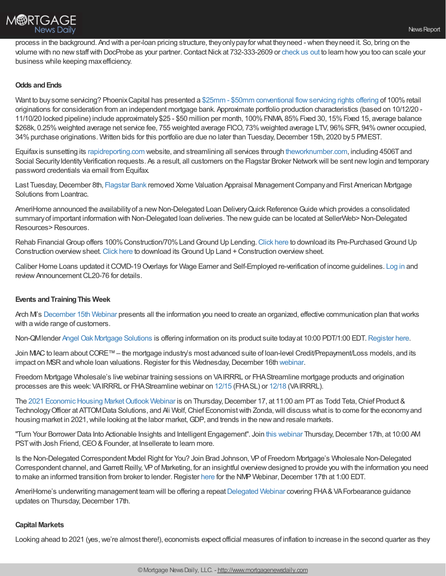

process in the background. And with a per-loan pricing structure, theyonlypayfor what theyneed - when theyneed it. So, bring on the volume with no new staff with DocProbe as your partner. Contact Nick at 732-333-2609 or [check](https://bit.ly/3qU2S36) us out to learn how you too can scale your business while keeping maxefficiency.

## **Odds andEnds**

Want to buy some servicing? Phoenix Capital has presented a \$25mm - \$50mm conventional flow servicing rights offering of 100% retail originations for consideration from an independent mortgage bank. Approximate portfolio production characteristics (based on 10/12/20 - 11/10/20 locked pipeline) include approximately\$25 - \$50 million per month, 100%FNMA, 85%Fixed 30, 15%Fixed 15, average balance \$268k, 0.25%weighted average net service fee, 755 weighted average FICO, 73%weighted average LTV, 96%SFR, 94%owner occupied, 34% purchase originations. Written bids for this portfolio are due no later than Tuesday, December 15th, 2020 by 5 PMEST.

Equifaxis sunsetting its [rapidreporting.com](http://rapidreporting.com/) website, and streamlining all services through [theworknumber.com](https://click.tpocommunications.flagstar.com/?qs=5540aa065c9efc67ee7b6b9de723d3abb1ee13f6ef464fcd7b80ae715eedae3897537ddb30ded94f3c890573ad76416b495be6a22aa9bc5b), including 4506Tand Social Security Identity Verification requests. As a result, all customers on the Flagstar Broker Network will be sent new login and temporary password credentials via email from Equifax.

Last Tuesday, December 8th, [Flagstar](https://www.flagstar.com/content/dam/tpo/sellers-guide/announcements/20116.pdf) Bank removed Xome Valuation Appraisal Management Company and First American Mortgage Solutions from Loantrac.

AmeriHome announced the availability of a new Non-Delegated Loan Delivery Quick Reference Guide which provides a consolidated summary of important information with Non-Delegated loan deliveries. The new guide can be located at SellerWeb>Non-Delegated Resources>Resources.

Rehab Financial Group offers 100% Construction/70% Land Ground Up Lending. [Click](https://rehabfinancial.us5.list-manage.com/track/click?u=f13abe5f7848836deec3af180&id=ae6646972f&e=6a7ca4eb21) here to download its Pre-Purchased Ground Up Construction overviewsheet.[Click](https://rehabfinancial.us5.list-manage.com/track/click?u=f13abe5f7848836deec3af180&id=b5091b760c&e=6a7ca4eb21) here to download its Ground Up Land +Construction overviewsheet.

Caliber Home Loans updated itCOVID-19Overlays for Wage Earner and Self-Employed re-verification of income guidelines. [Log](https://www.calibercl.com/default/login?initial-redirect=true) in and review Announcement CL20-76 for details.

#### **Events andTrainingThis Week**

Arch M's [December](https://us02web.zoom.us/webinar/register/WN_b1jyuzFBR3ymZ9TDTBudRw?utm_medium=Email&utm_source=ExactTarget&utm_campaign=%20webinar) 15th Webinar presents all the information you need to create an organized, effective communication plan that works with a wide range of customers.

Non-QMlender Angel Oak Mortgage [Solutions](http://angeloakms.com/) is offering information on its product suite todayat 10:00 PDT/1:00 EDT.[Register](https://go.angeloakms.com/december-2020-social) here.

Join MIAC to learn about CORE™ – the mortgage industry's most advanced suite of loan-level Credit/Prepayment/Loss models, and its impact on MSR and whole loan valuations. Register for this Wednesday, December 16th [webinar](https://register.gotowebinar.com/register/4136263099618626317?source=EmailInvite1&_cldee=c3RldmUuaGFycmlzQG1pYWNhbmFseXRpY3MuY29t&recipientid=contact-351ce73ee2d1e61180f0c4346bac2970-d2d6fd76ca4d449694a1024376d93403&esid=7e55b505-6839-eb11-a813-000d3a58ba85).

Freedom Mortgage Wholesale's live webinar training sessions on VAIRRRL or FHAStreamline mortgage products and origination processes are this week: VAIRRRL or FHAStreamline webinar on [12/15](https://freedom.zoom.us/j/82102201741) (FHASL) or [12/18](https://freedom.zoom.us/j/81592295610) (VAIRRRL).

The 2021 Economic Housing Market Outlook Webinar is on Thursday, December 17, at 11:00 am PT as Todd Teta, Chief Product & Technology Officer at ATTOMData Solutions, and Ali Wolf, Chief Economist with Zonda, will discuss what is to come for the economy and housing market in 2021, while looking at the labor market, GDP, and trends in the new and resale markets.

"Turn Your Borrower Data Into Actionable Insights and Intelligent Engagement". Join this [webinar](https://attendee.gotowebinar.com/register/6639453052927872523?source=Direct) Thursday,December 17th, at 10:00 AM PST with Josh Friend, CEO & Founder, at Insellerate to learn more.

Is the Non-Delegated Correspondent Model Right for You? Join Brad Johnson, VPof Freedom Mortgage's Wholesale Non-Delegated Correspondent channel, and Garrett Reilly, VP of Marketing, for an insightful overview designed to provide you with the information you need to make an informed transition from broker to lender. Register [here](https://register.gotowebinar.com/register/2066609481307258895?source=NMP&utm_source=National+Mortgage+Professional+Magazine&utm_campaign=1d24fd9aa8-EMAIL_CAMPAIGN_2020_11_30_07_39&utm_medium=email&utm_term=0_4a91388747-1d24fd9aa8-70997078) for the NMP Webinar, December 17th at 1:00 EDT.

AmeriHome's underwriting management team will be offering a repeat [Delegated](https://amerihome.zoom.us/webinar/register/WN_nP-GJGutRIe-E-MhhRS3rw) Webinar covering FHA & VA Forbearance guidance updates on Thursday, December 17th.

#### **Capital Markets**

Looking ahead to 2021 (yes, we're almost there!), economists expect official measures of inflation to increase in the second quarter as they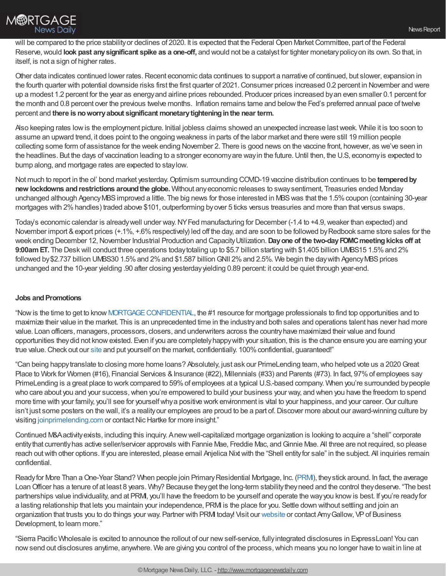Other data indicates continued lower rates. Recent economic data continues to support a narrative of continued, but slower, expansion in the fourth quarter with potential downside risks first the first quarter of 2021.Consumer prices increased 0.2 percent in November and were up a modest 1.2 percent for the year as energyand airline prices rebounded. Producer prices increased byan even smaller 0.1 percent for the month and 0.8 percent over the previous twelve months. Inflation remains tame and belowthe Fed's preferred annual pace of twelve percent and **there is noworryabout significant monetarytighteninginthe near term.**

Also keeping rates lowis the employment picture. Initial jobless claims showed an unexpected increase lastweek. While it is too soon to assume an upward trend, it does point to the ongoing weakness in parts of the labor market and there were still 19 million people collecting some form of assistance for the week ending November 2. There is good news on the vaccine front, however, as we've seen in the headlines. But the days of vaccination leading to a stronger economy are way in the future. Until then, the U.S, economy is expected to bump along, and mortgage rates are expected to staylow.

Not much to report in the ol' bond market yesterday.Optimism surrounding COVID-19 vaccine distribution continues to be **temperedby new lockdowns andrestrictions aroundthe globe.** Without anyeconomic releases to swaysentiment, Treasuries ended Monday unchanged although Agency MBS improved a little. The big news for those interested in MBS was that the 1.5% coupon (containing 30-year mortgages with 2%handles) traded above \$101, outperforming byover 5 ticks versus treasuries and more than that versus swaps.

Today's economic calendar is already well under way. NY Fed manufacturing for December (-1.4 to +4.9, weaker than expected) and November import & export prices (+.1%, +.6% respectively) led off the day, and are soon to be followed by Redbook same store sales for the week ending December 12,November Industrial Production and CapacityUtilization.**Dayone of the two-dayFOMCmeetingkicks off at 9:00amET.** The Deskwill conduct three operations todaytotaling up to \$5.7 billion starting with \$1.405 billion UMBS15 1.5%and 2% followed by \$2.737 billion UMBS30 1.5% and 2% and \$1.587 billion GNII 2% and 2.5%. We begin the day with Agency MBS prices unchanged and the 10-year yielding .90 after closing yesterdayyielding 0.89 percent: it could be quiet through year-end.

# **Jobs** and Promotions

"Nowis the time to get to know [MORTGAGECONFIDENTIAL](http://www.mortgage-confidential.com/), the #1 resource for mortgage professionals to find top opportunities and to maximize their value in the market. This is an unprecedented time in the industryand both sales and operations talent has never had more value. Loan officers, managers, processors, closers, and underwriters across the countryhave maximized their value and found opportunities theydid not knowexisted. Even if you are completelyhappywith your situation, this is the chance ensure you are earning your true value. Check out our [site](http://www.mortgage-confidential.com/) and put yourself on the market, confidentially. 100% confidential, guaranteed!"

"Can being happytranslate to closing more home loans? Absolutely, just ask our PrimeLending team,who helped vote us a 2020Great Place to Work for Women (#16), Financial Services & Insurance (#22), Millennials (#33) and Parents (#73). In fact, 97% of employees say PrimeLending is a great place to work compared to 59%of employees at a typical U.S.-based company. When you're surrounded bypeople who care about you and your success, when you're empowered to build your business your way, and when you have the freedom to spend more time with your family, you'll see for yourself why a positive work environment is vital to your happiness, and your career. Our culture isn't just some posters on the wall, it's a realityour employees are proud to be a part of. Discover more about our award-winning culture by visiting [joinprimelending.com](https://www.joinprimelending.com/culture) or contact Nic Hartke for more insight."

Continued M&Aactivityexists, including this inquiry. Anewwell-capitalized mortgage organization is looking to acquire a "shell" corporate entitythat currentlyhas active seller/servicer approvals with Fannie Mae, Freddie Mac, andGinnie Mae. All three are not required, so please reach out with other options. If you are interested, please email Anjelica Nixt with the "Shell entity for sale" in the subject. All inquiries remain confidential.

Ready for More Than a One-Year Stand? When people join Primary Residential Mortgage, Inc. (PRM), they stick around. In fact, the average Loan Officer has a tenure of at least 8 years. Why? Because they get the long-term stability they need and the control they deserve. "The best partnerships value individuality, and at PRM, you'll have the freedom to be yourself and operate the way you know is best. If you're ready for a lasting relationship that lets you maintain your independence, PRMI is the place for you. Settle down without settling and join an organization that trusts you to do things your way. Partner with PRMI today! Visit our [website](https://www.primeres.com/branchpartners/one-year-stand?utm_source=robchrisman&utm_medium=paidad&utm_content=oneyearstand&utm_campaign=q4bizdev) or contact AmyGallow, VPof Business Development, to learn more."

"Sierra Pacific Wholesale is excited to announce the rollout of our newself-service, fullyintegrated disclosures in ExpressLoan! You can now send out disclosures anytime, anywhere. We are giving you control of the process, which means you no longer have to wait in line at